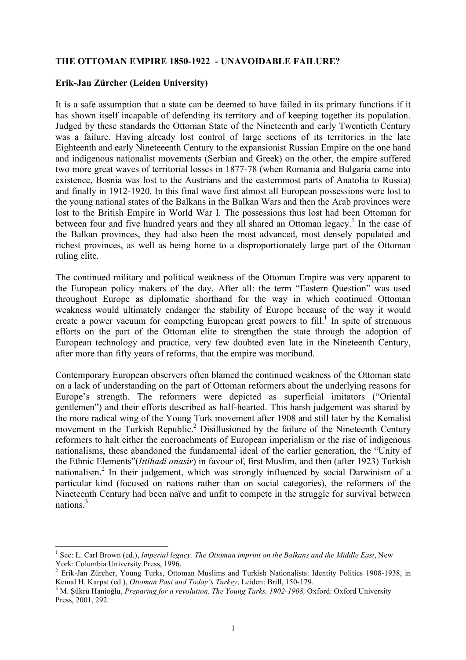# **THE OTTOMAN EMPIRE 1850-1922 - UNAVOIDABLE FAILURE?**

# **Erik-Jan Zürcher (Leiden University)**

It is a safe assumption that a state can be deemed to have failed in its primary functions if it has shown itself incapable of defending its territory and of keeping together its population. Judged by these standards the Ottoman State of the Nineteenth and early Twentieth Century was a failure. Having already lost control of large sections of its territories in the late Eighteenth and early Nineteeenth Century to the expansionist Russian Empire on the one hand and indigenous nationalist movements (Serbian and Greek) on the other, the empire suffered two more great waves of territorial losses in 1877-78 (when Romania and Bulgaria came into existence, Bosnia was lost to the Austrians and the easternmost parts of Anatolia to Russia) and finally in 1912-1920. In this final wave first almost all European possessions were lost to the young national states of the Balkans in the Balkan Wars and then the Arab provinces were lost to the British Empire in World War I. The possessions thus lost had been Ottoman for between four and five hundred years and they all shared an Ottoman legacy.<sup>1</sup> In the case of the Balkan provinces, they had also been the most advanced, most densely populated and richest provinces, as well as being home to a disproportionately large part of the Ottoman ruling elite.

The continued military and political weakness of the Ottoman Empire was very apparent to the European policy makers of the day. After all: the term "Eastern Question" was used throughout Europe as diplomatic shorthand for the way in which continued Ottoman weakness would ultimately endanger the stability of Europe because of the way it would create a power vacuum for competing European great powers to fill.<sup>1</sup> In spite of strenuous efforts on the part of the Ottoman elite to strengthen the state through the adoption of European technology and practice, very few doubted even late in the Nineteenth Century, after more than fifty years of reforms, that the empire was moribund.

Contemporary European observers often blamed the continued weakness of the Ottoman state on a lack of understanding on the part of Ottoman reformers about the underlying reasons for Europe's strength. The reformers were depicted as superficial imitators ("Oriental gentlemen") and their efforts described as half-hearted. This harsh judgement was shared by the more radical wing of the Young Turk movement after 1908 and still later by the Kemalist movement in the Turkish Republic.<sup>2</sup> Disillusioned by the failure of the Nineteenth Century reformers to halt either the encroachments of European imperialism or the rise of indigenous nationalisms, these abandoned the fundamental ideal of the earlier generation, the "Unity of the Ethnic Elements"(*Ittihadi anasir*) in favour of, first Muslim, and then (after 1923) Turkish nationalism. <sup>2</sup> In their judgement, which was strongly influenced by social Darwinism of a particular kind (focused on nations rather than on social categories), the reformers of the Nineteenth Century had been naïve and unfit to compete in the struggle for survival between nations. 3

 <sup>1</sup> See: L. Carl Brown (ed.), *Imperial legacy. The Ottoman imprint on the Balkans and the Middle East*, New York: Columbia University Press, 1996.<br><sup>2</sup> Erik-Jan Zürcher, Young Turks, Ottoman Muslims and Turkish Nationalists: Identity Politics 1908-1938, in

Kemal H. Karpat (ed.), *Ottoman Past and Today's Turkey*, Leiden: Brill, 150-179.<br><sup>3</sup> M. Şükrü Hanioğlu, *Preparing for a revolution. The Young Turks, 1902-1908*, Oxford: Oxford University

Press, 2001, 292.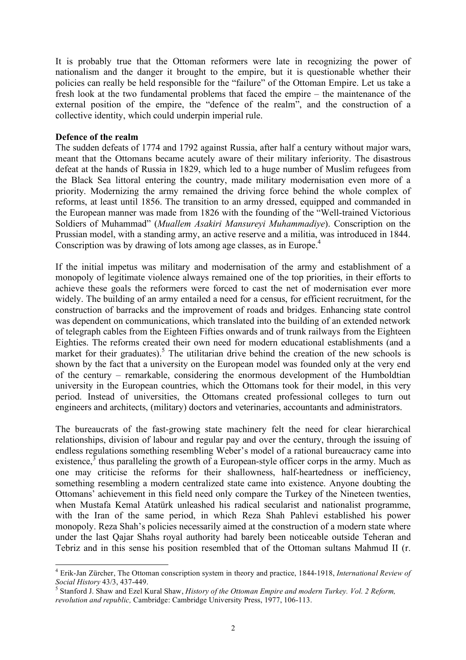It is probably true that the Ottoman reformers were late in recognizing the power of nationalism and the danger it brought to the empire, but it is questionable whether their policies can really be held responsible for the "failure" of the Ottoman Empire. Let us take a fresh look at the two fundamental problems that faced the empire – the maintenance of the external position of the empire, the "defence of the realm", and the construction of a collective identity, which could underpin imperial rule.

# **Defence of the realm**

The sudden defeats of 1774 and 1792 against Russia, after half a century without major wars, meant that the Ottomans became acutely aware of their military inferiority. The disastrous defeat at the hands of Russia in 1829, which led to a huge number of Muslim refugees from the Black Sea littoral entering the country, made military modernisation even more of a priority. Modernizing the army remained the driving force behind the whole complex of reforms, at least until 1856. The transition to an army dressed, equipped and commanded in the European manner was made from 1826 with the founding of the "Well-trained Victorious Soldiers of Muhammad" (*Muallem Asakiri Mansureyi Muhammadiye*). Conscription on the Prussian model, with a standing army, an active reserve and a militia, was introduced in 1844. Conscription was by drawing of lots among age classes, as in Europe. 4

If the initial impetus was military and modernisation of the army and establishment of a monopoly of legitimate violence always remained one of the top priorities, in their efforts to achieve these goals the reformers were forced to cast the net of modernisation ever more widely. The building of an army entailed a need for a census, for efficient recruitment, for the construction of barracks and the improvement of roads and bridges. Enhancing state control was dependent on communications, which translated into the building of an extended network of telegraph cables from the Eighteen Fifties onwards and of trunk railways from the Eighteen Eighties. The reforms created their own need for modern educational establishments (and a market for their graduates).<sup>5</sup> The utilitarian drive behind the creation of the new schools is shown by the fact that a university on the European model was founded only at the very end of the century – remarkable, considering the enormous development of the Humboldtian university in the European countries, which the Ottomans took for their model, in this very period. Instead of universities, the Ottomans created professional colleges to turn out engineers and architects, (military) doctors and veterinaries, accountants and administrators.

The bureaucrats of the fast-growing state machinery felt the need for clear hierarchical relationships, division of labour and regular pay and over the century, through the issuing of endless regulations something resembling Weber's model of a rational bureaucracy came into existence,  $\frac{3}{3}$  thus paralleling the growth of a European-style officer corps in the army. Much as one may criticise the reforms for their shallowness, half-heartedness or inefficiency, something resembling a modern centralized state came into existence. Anyone doubting the Ottomans' achievement in this field need only compare the Turkey of the Nineteen twenties, when Mustafa Kemal Atatürk unleashed his radical secularist and nationalist programme, with the Iran of the same period, in which Reza Shah Pahlevi established his power monopoly. Reza Shah's policies necessarily aimed at the construction of a modern state where under the last Qajar Shahs royal authority had barely been noticeable outside Teheran and Tebriz and in this sense his position resembled that of the Ottoman sultans Mahmud II (r.

 <sup>4</sup> Erik-Jan Zürcher, The Ottoman conscription system in theory and practice, 1844-1918, *International Review of*

*Social History* 43/3, 437-449. <sup>5</sup> Stanford J. Shaw and Ezel Kural Shaw, *History of the Ottoman Empire and modern Turkey. Vol. <sup>2</sup> Reform, revolution and republic,* Cambridge: Cambridge University Press, 1977, 106-113.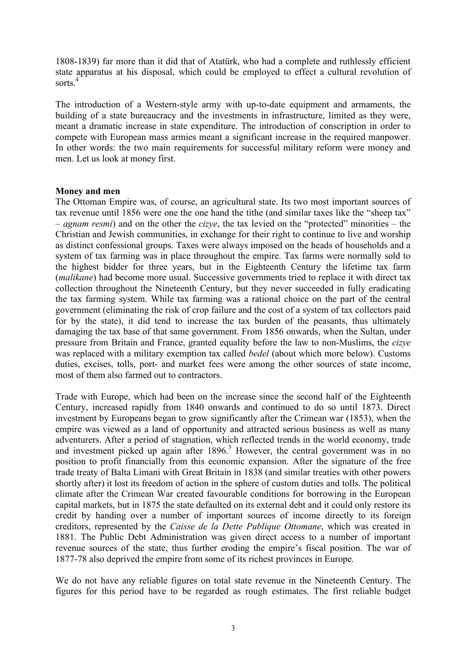1808-1839) far more than it did that of Atatürk, who had a complete and ruthlessly efficient state apparatus at his disposal, which could be employed to effect a cultural revolution of sorts. 4

The introduction of a Western-style army with up-to-date equipment and armaments, the building of a state bureaucracy and the investments in infrastructure, limited as they were, meant a dramatic increase in state expenditure. The introduction of conscription in order to compete with European mass armies meant a significant increase in the required manpower. In other words: the two main requirements for successful military reform were money and men. Let us look at money first.

### **Money and men**

The Ottoman Empire was, of course, an agricultural state. Its two most important sources of tax revenue until 1856 were one the one hand the tithe (and similar taxes like the "sheep tax" – *agnam resmi*) and on the other the *cizye*, the tax levied on the "protected" minorities – the Christian and Jewish communities, in exchange for their right to continue to live and worship as distinct confessional groups. Taxes were always imposed on the heads of households and a system of tax farming was in place throughout the empire. Tax farms were normally sold to the highest bidder for three years, but in the Eighteenth Century the lifetime tax farm (*malikane*) had become more usual. Successive governments tried to replace it with direct tax collection throughout the Nineteenth Century, but they never succeeded in fully eradicating the tax farming system. While tax farming was a rational choice on the part of the central government (eliminating the risk of crop failure and the cost of a system of tax collectors paid for by the state), it did tend to increase the tax burden of the peasants, thus ultimately damaging the tax base of that same government. From 1856 onwards, when the Sultan, under pressure from Britain and France, granted equality before the law to non-Muslims, the *cizye* was replaced with a military exemption tax called *bedel* (about which more below). Customs duties, excises, tolls, port- and market fees were among the other sources of state income, most of them also farmed out to contractors.

Trade with Europe, which had been on the increase since the second half of the Eighteenth Century, increased rapidly from 1840 onwards and continued to do so until 1873. Direct investment by Europeans began to grow significantly after the Crimean war (1853), when the empire was viewed as a land of opportunity and attracted serious business as well as many adventurers. After a period of stagnation, which reflected trends in the world economy, trade and investment picked up again after  $1896$ .<sup>5</sup> However, the central government was in no position to profit financially from this economic expansion. After the signature of the free trade treaty of Balta Limani with Great Britain in 1838 (and similar treaties with other powers shortly after) it lost its freedom of action in the sphere of custom duties and tolls. The political climate after the Crimean War created favourable conditions for borrowing in the European capital markets, but in 1875 the state defaulted on its external debt and it could only restore its credit by handing over a number of important sources of income directly to its foreign creditors, represented by the *Caisse de la Dette Publique Ottomane*, which was created in 1881. The Public Debt Administration was given direct access to a number of important revenue sources of the state, thus further eroding the empire's fiscal position. The war of 1877-78 also deprived the empire from some of its richest provinces in Europe.

We do not have any reliable figures on total state revenue in the Nineteenth Century. The figures for this period have to be regarded as rough estimates. The first reliable budget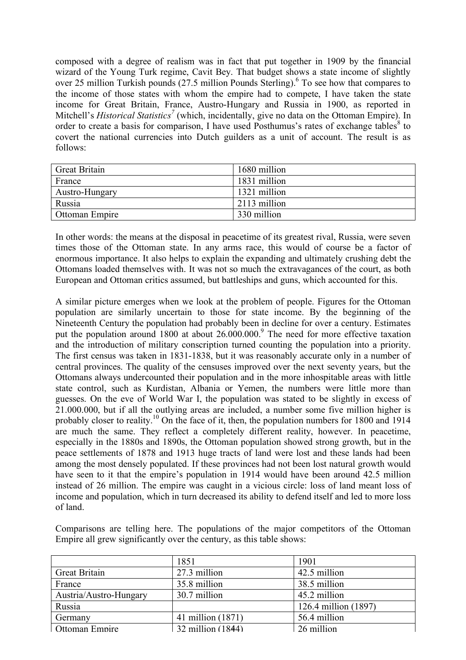composed with a degree of realism was in fact that put together in 1909 by the financial wizard of the Young Turk regime, Cavit Bey. That budget shows a state income of slightly over 25 million Turkish pounds (27.5 million Pounds Sterling). <sup>6</sup> To see how that compares to the income of those states with whom the empire had to compete, I have taken the state income for Great Britain, France, Austro-Hungary and Russia in 1900, as reported in Mitchell's *Historical Statistics <sup>7</sup>* (which, incidentally, give no data on the Ottoman Empire). In order to create a basis for comparison, I have used Posthumus's rates of exchange tables<sup>8</sup> to covert the national currencies into Dutch guilders as a unit of account. The result is as follows:

| <b>Great Britain</b> | 1680 million |
|----------------------|--------------|
| France               | 1831 million |
| Austro-Hungary       | 1321 million |
| Russia               | 2113 million |
| Ottoman Empire       | 330 million  |

In other words: the means at the disposal in peacetime of its greatest rival, Russia, were seven times those of the Ottoman state. In any arms race, this would of course be a factor of enormous importance. It also helps to explain the expanding and ultimately crushing debt the Ottomans loaded themselves with. It was not so much the extravagances of the court, as both European and Ottoman critics assumed, but battleships and guns, which accounted for this.

A similar picture emerges when we look at the problem of people. Figures for the Ottoman population are similarly uncertain to those for state income. By the beginning of the Nineteenth Century the population had probably been in decline for over a century. Estimates put the population around 1800 at about 26.000.000.<sup>9</sup> The need for more effective taxation and the introduction of military conscription turned counting the population into a priority. The first census was taken in 1831-1838, but it was reasonably accurate only in a number of central provinces. The quality of the censuses improved over the next seventy years, but the Ottomans always undercounted their population and in the more inhospitable areas with little state control, such as Kurdistan, Albania or Yemen, the numbers were little more than guesses. On the eve of World War I, the population was stated to be slightly in excess of 21.000.000, but if all the outlying areas are included, a number some five million higher is probably closer to reality.<sup>10</sup> On the face of it, then, the population numbers for 1800 and 1914 are much the same. They reflect a completely different reality, however. In peacetime, especially in the 1880s and 1890s, the Ottoman population showed strong growth, but in the peace settlements of 1878 and 1913 huge tracts of land were lost and these lands had been among the most densely populated. If these provinces had not been lost natural growth would have seen to it that the empire's population in 1914 would have been around 42.5 million instead of 26 million. The empire was caught in a vicious circle: loss of land meant loss of income and population, which in turn decreased its ability to defend itself and led to more loss of land.

| Empire an grow significantly over the century, as this table shows. |              |              |  |
|---------------------------------------------------------------------|--------------|--------------|--|
|                                                                     | 1851         | 1901         |  |
| <b>Great Britain</b>                                                | 27.3 million | 42.5 million |  |
| France                                                              | 35.8 million | 38.5 million |  |
| Austria/Austro-Hungary                                              | 30.7 million | 45.2 million |  |

Ottoman Empire 1 32 million (1844) 26 million

Germany 141 million (1871) 56.4 million

Russia 126.4 million (1897)

Comparisons are telling here. The populations of the major competitors of the Ottoman Empire all grew significantly over the century, as this table shows: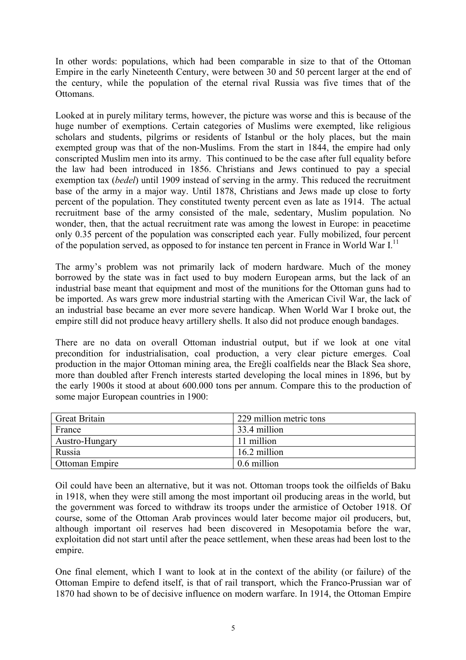In other words: populations, which had been comparable in size to that of the Ottoman Empire in the early Nineteenth Century, were between 30 and 50 percent larger at the end of the century, while the population of the eternal rival Russia was five times that of the Ottomans.

Looked at in purely military terms, however, the picture was worse and this is because of the huge number of exemptions. Certain categories of Muslims were exempted, like religious scholars and students, pilgrims or residents of Istanbul or the holy places, but the main exempted group was that of the non-Muslims. From the start in 1844, the empire had only conscripted Muslim men into its army. This continued to be the case after full equality before the law had been introduced in 1856. Christians and Jews continued to pay a special exemption tax (*bedel*) until 1909 instead of serving in the army. This reduced the recruitment base of the army in a major way. Until 1878, Christians and Jews made up close to forty percent of the population. They constituted twenty percent even as late as 1914. The actual recruitment base of the army consisted of the male, sedentary, Muslim population. No wonder, then, that the actual recruitment rate was among the lowest in Europe: in peacetime only 0.35 percent of the population was conscripted each year. Fully mobilized, four percent of the population served, as opposed to for instance ten percent in France in World War I.<sup>11</sup>

The army's problem was not primarily lack of modern hardware. Much of the money borrowed by the state was in fact used to buy modern European arms, but the lack of an industrial base meant that equipment and most of the munitions for the Ottoman guns had to be imported. As wars grew more industrial starting with the American Civil War, the lack of an industrial base became an ever more severe handicap. When World War I broke out, the empire still did not produce heavy artillery shells. It also did not produce enough bandages.

There are no data on overall Ottoman industrial output, but if we look at one vital precondition for industrialisation, coal production, a very clear picture emerges. Coal production in the major Ottoman mining area, the Ereğli coalfields near the Black Sea shore, more than doubled after French interests started developing the local mines in 1896, but by the early 1900s it stood at about 600.000 tons per annum. Compare this to the production of some major European countries in 1900:

| <b>Great Britain</b>  | 229 million metric tons |
|-----------------------|-------------------------|
| France                | 33.4 million            |
| Austro-Hungary        | 11 million              |
| Russia                | 16.2 million            |
| <b>Ottoman Empire</b> | 0.6 million             |

Oil could have been an alternative, but it was not. Ottoman troops took the oilfields of Baku in 1918, when they were still among the most important oil producing areas in the world, but the government was forced to withdraw its troops under the armistice of October 1918. Of course, some of the Ottoman Arab provinces would later become major oil producers, but, although important oil reserves had been discovered in Mesopotamia before the war, exploitation did not start until after the peace settlement, when these areas had been lost to the empire.

One final element, which I want to look at in the context of the ability (or failure) of the Ottoman Empire to defend itself, is that of rail transport, which the Franco-Prussian war of 1870 had shown to be of decisive influence on modern warfare. In 1914, the Ottoman Empire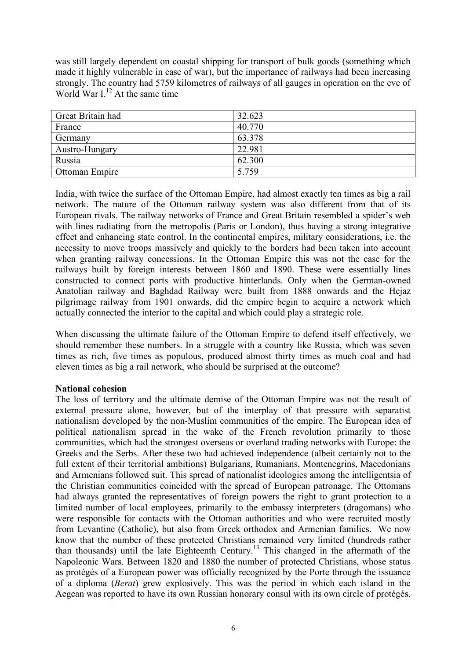was still largely dependent on coastal shipping for transport of bulk goods (something which made it highly vulnerable in case of war), but the importance of railways had been increasing strongly. The country had 5759 kilometres of railways of all gauges in operation on the eve of World War I.<sup>12</sup> At the same time

| Great Britain had | 32.623 |
|-------------------|--------|
| France            | 40.770 |
| Germany           | 63.378 |
| Austro-Hungary    | 22.981 |
| Russia            | 62.300 |
| Ottoman Empire    | 5.759  |

India, with twice the surface of the Ottoman Empire, had almost exactly ten times as big a rail network. The nature of the Ottoman railway system was also different from that of its European rivals. The railway networks of France and Great Britain resembled a spider's web with lines radiating from the metropolis (Paris or London), thus having a strong integrative effect and enhancing state control. In the continental empires, military considerations, i.e. the necessity to move troops massively and quickly to the borders had been taken into account when granting railway concessions. In the Ottoman Empire this was not the case for the railways built by foreign interests between 1860 and 1890. These were essentially lines constructed to connect ports with productive hinterlands. Only when the German-owned Anatolian railway and Baghdad Railway were built from 1888 onwards and the Hejaz pilgrimage railway from 1901 onwards, did the empire begin to acquire a network which actually connected the interior to the capital and which could play a strategic role.

When discussing the ultimate failure of the Ottoman Empire to defend itself effectively, we should remember these numbers. In a struggle with a country like Russia, which was seven times as rich, five times as populous, produced almost thirty times as much coal and had eleven times as big a rail network, who should be surprised at the outcome?

# **National cohesion**

The loss of territory and the ultimate demise of the Ottoman Empire was not the result of external pressure alone, however, but of the interplay of that pressure with separatist nationalism developed by the non-Muslim communities of the empire. The European idea of political nationalism spread in the wake of the French revolution primarily to those communities, which had the strongest overseas or overland trading networks with Europe: the Greeks and the Serbs. After these two had achieved independence (albeit certainly not to the full extent of their territorial ambitions) Bulgarians, Rumanians, Montenegrins, Macedonians and Armenians followed suit. This spread of nationalist ideologies among the intelligentsia of the Christian communities coincided with the spread of European patronage. The Ottomans had always granted the representatives of foreign powers the right to grant protection to a limited number of local employees, primarily to the embassy interpreters (dragomans) who were responsible for contacts with the Ottoman authorities and who were recruited mostly from Levantine (Catholic), but also from Greek orthodox and Armenian families. We now know that the number of these protected Christians remained very limited (hundreds rather than thousands) until the late Eighteenth Century. <sup>13</sup> This changed in the aftermath of the Napoleonic Wars. Between 1820 and 1880 the number of protected Christians, whose status as protégés of a European power was officially recognized by the Porte through the issuance of a diploma (*Berat*) grew explosively. This was the period in which each island in the Aegean was reported to have its own Russian honorary consul with its own circle of protégés.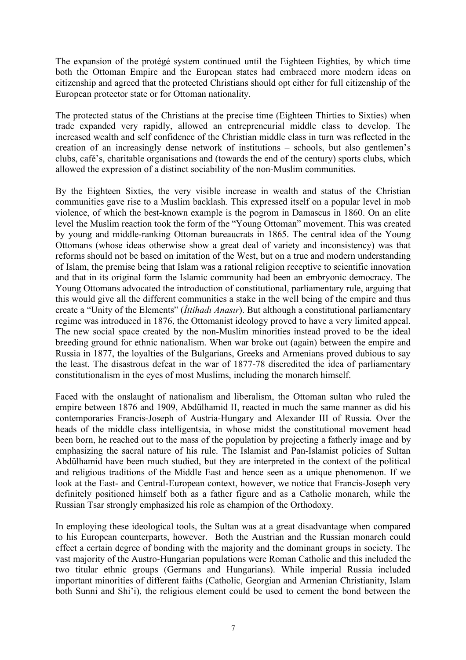The expansion of the protégé system continued until the Eighteen Eighties, by which time both the Ottoman Empire and the European states had embraced more modern ideas on citizenship and agreed that the protected Christians should opt either for full citizenship of the European protector state or for Ottoman nationality.

The protected status of the Christians at the precise time (Eighteen Thirties to Sixties) when trade expanded very rapidly, allowed an entrepreneurial middle class to develop. The increased wealth and self confidence of the Christian middle class in turn was reflected in the creation of an increasingly dense network of institutions – schools, but also gentlemen's clubs, café's, charitable organisations and (towards the end of the century) sports clubs, which allowed the expression of a distinct sociability of the non-Muslim communities.

By the Eighteen Sixties, the very visible increase in wealth and status of the Christian communities gave rise to a Muslim backlash. This expressed itself on a popular level in mob violence, of which the best-known example is the pogrom in Damascus in 1860. On an elite level the Muslim reaction took the form of the "Young Ottoman" movement. This was created by young and middle-ranking Ottoman bureaucrats in 1865. The central idea of the Young Ottomans (whose ideas otherwise show a great deal of variety and inconsistency) was that reforms should not be based on imitation of the West, but on a true and modern understanding of Islam, the premise being that Islam was a rational religion receptive to scientific innovation and that in its original form the Islamic community had been an embryonic democracy. The Young Ottomans advocated the introduction of constitutional, parliamentary rule, arguing that this would give all the different communities a stake in the well being of the empire and thus create a "Unity of the Elements" (*İttihadı Anasır*). But although a constitutional parliamentary regime was introduced in 1876, the Ottomanist ideology proved to have a very limited appeal. The new social space created by the non-Muslim minorities instead proved to be the ideal breeding ground for ethnic nationalism. When war broke out (again) between the empire and Russia in 1877, the loyalties of the Bulgarians, Greeks and Armenians proved dubious to say the least. The disastrous defeat in the war of 1877-78 discredited the idea of parliamentary constitutionalism in the eyes of most Muslims, including the monarch himself.

Faced with the onslaught of nationalism and liberalism, the Ottoman sultan who ruled the empire between 1876 and 1909, Abdülhamid II, reacted in much the same manner as did his contemporaries Francis-Joseph of Austria-Hungary and Alexander III of Russia. Over the heads of the middle class intelligentsia, in whose midst the constitutional movement head been born, he reached out to the mass of the population by projecting a fatherly image and by emphasizing the sacral nature of his rule. The Islamist and Pan-Islamist policies of Sultan Abdülhamid have been much studied, but they are interpreted in the context of the political and religious traditions of the Middle East and hence seen as a unique phenomenon. If we look at the East- and Central-European context, however, we notice that Francis-Joseph very definitely positioned himself both as a father figure and as a Catholic monarch, while the Russian Tsar strongly emphasized his role as champion of the Orthodoxy.

In employing these ideological tools, the Sultan was at a great disadvantage when compared to his European counterparts, however. Both the Austrian and the Russian monarch could effect a certain degree of bonding with the majority and the dominant groups in society. The vast majority of the Austro-Hungarian populations were Roman Catholic and this included the two titular ethnic groups (Germans and Hungarians). While imperial Russia included important minorities of different faiths (Catholic, Georgian and Armenian Christianity, Islam both Sunni and Shi'i), the religious element could be used to cement the bond between the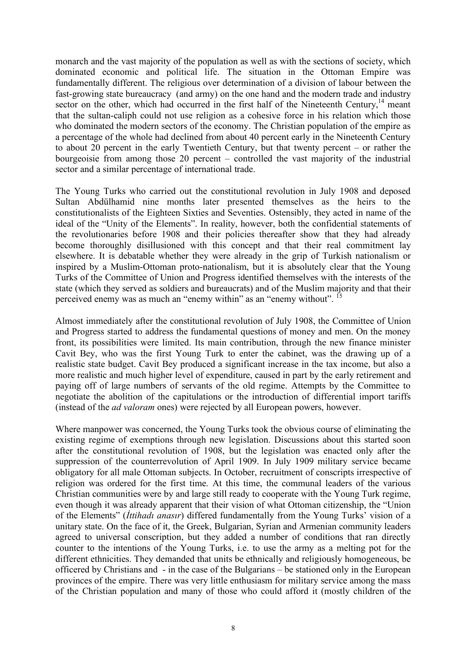monarch and the vast majority of the population as well as with the sections of society, which dominated economic and political life. The situation in the Ottoman Empire was fundamentally different. The religious over determination of a division of labour between the fast-growing state bureaucracy (and army) on the one hand and the modern trade and industry sector on the other, which had occurred in the first half of the Nineteenth Century, $14$  meant that the sultan-caliph could not use religion as a cohesive force in his relation which those who dominated the modern sectors of the economy. The Christian population of the empire as a percentage of the whole had declined from about 40 percent early in the Nineteenth Century to about 20 percent in the early Twentieth Century, but that twenty percent – or rather the bourgeoisie from among those 20 percent – controlled the vast majority of the industrial sector and a similar percentage of international trade.

The Young Turks who carried out the constitutional revolution in July 1908 and deposed Sultan Abdülhamid nine months later presented themselves as the heirs to the constitutionalists of the Eighteen Sixties and Seventies. Ostensibly, they acted in name of the ideal of the "Unity of the Elements". In reality, however, both the confidential statements of the revolutionaries before 1908 and their policies thereafter show that they had already become thoroughly disillusioned with this concept and that their real commitment lay elsewhere. It is debatable whether they were already in the grip of Turkish nationalism or inspired by a Muslim-Ottoman proto-nationalism, but it is absolutely clear that the Young Turks of the Committee of Union and Progress identified themselves with the interests of the state (which they served as soldiers and bureaucrats) and of the Muslim majority and that their perceived enemy was as much an "enemy within" as an "enemy without". <sup>15</sup>

Almost immediately after the constitutional revolution of July 1908, the Committee of Union and Progress started to address the fundamental questions of money and men. On the money front, its possibilities were limited. Its main contribution, through the new finance minister Cavit Bey, who was the first Young Turk to enter the cabinet, was the drawing up of a realistic state budget. Cavit Bey produced a significant increase in the tax income, but also a more realistic and much higher level of expenditure, caused in part by the early retirement and paying off of large numbers of servants of the old regime. Attempts by the Committee to negotiate the abolition of the capitulations or the introduction of differential import tariffs (instead of the *ad valoram* ones) were rejected by all European powers, however.

Where manpower was concerned, the Young Turks took the obvious course of eliminating the existing regime of exemptions through new legislation. Discussions about this started soon after the constitutional revolution of 1908, but the legislation was enacted only after the suppression of the counterrevolution of April 1909. In July 1909 military service became obligatory for all male Ottoman subjects. In October, recruitment of conscripts irrespective of religion was ordered for the first time. At this time, the communal leaders of the various Christian communities were by and large still ready to cooperate with the Young Turk regime, even though it was already apparent that their vision of what Ottoman citizenship, the "Union of the Elements" (*İttihadı anasır*) differed fundamentally from the Young Turks' vision of a unitary state. On the face of it, the Greek, Bulgarian, Syrian and Armenian community leaders agreed to universal conscription, but they added a number of conditions that ran directly counter to the intentions of the Young Turks, i.e. to use the army as a melting pot for the different ethnicities. They demanded that units be ethnically and religiously homogeneous, be officered by Christians and - in the case of the Bulgarians – be stationed only in the European provinces of the empire. There was very little enthusiasm for military service among the mass of the Christian population and many of those who could afford it (mostly children of the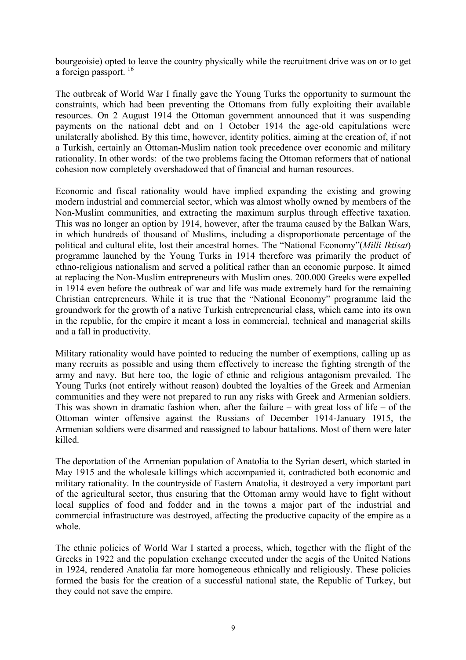bourgeoisie) opted to leave the country physically while the recruitment drive was on or to get a foreign passport.<sup>16</sup>

The outbreak of World War I finally gave the Young Turks the opportunity to surmount the constraints, which had been preventing the Ottomans from fully exploiting their available resources. On 2 August 1914 the Ottoman government announced that it was suspending payments on the national debt and on 1 October 1914 the age-old capitulations were unilaterally abolished. By this time, however, identity politics, aiming at the creation of, if not a Turkish, certainly an Ottoman-Muslim nation took precedence over economic and military rationality. In other words: of the two problems facing the Ottoman reformers that of national cohesion now completely overshadowed that of financial and human resources.

Economic and fiscal rationality would have implied expanding the existing and growing modern industrial and commercial sector, which was almost wholly owned by members of the Non-Muslim communities, and extracting the maximum surplus through effective taxation. This was no longer an option by 1914, however, after the trauma caused by the Balkan Wars, in which hundreds of thousand of Muslims, including a disproportionate percentage of the political and cultural elite, lost their ancestral homes. The "National Economy"(*Milli Iktisat*) programme launched by the Young Turks in 1914 therefore was primarily the product of ethno-religious nationalism and served a political rather than an economic purpose. It aimed at replacing the Non-Muslim entrepreneurs with Muslim ones. 200.000 Greeks were expelled in 1914 even before the outbreak of war and life was made extremely hard for the remaining Christian entrepreneurs. While it is true that the "National Economy" programme laid the groundwork for the growth of a native Turkish entrepreneurial class, which came into its own in the republic, for the empire it meant a loss in commercial, technical and managerial skills and a fall in productivity.

Military rationality would have pointed to reducing the number of exemptions, calling up as many recruits as possible and using them effectively to increase the fighting strength of the army and navy. But here too, the logic of ethnic and religious antagonism prevailed. The Young Turks (not entirely without reason) doubted the loyalties of the Greek and Armenian communities and they were not prepared to run any risks with Greek and Armenian soldiers. This was shown in dramatic fashion when, after the failure – with great loss of life – of the Ottoman winter offensive against the Russians of December 1914-January 1915, the Armenian soldiers were disarmed and reassigned to labour battalions. Most of them were later killed.

The deportation of the Armenian population of Anatolia to the Syrian desert, which started in May 1915 and the wholesale killings which accompanied it, contradicted both economic and military rationality. In the countryside of Eastern Anatolia, it destroyed a very important part of the agricultural sector, thus ensuring that the Ottoman army would have to fight without local supplies of food and fodder and in the towns a major part of the industrial and commercial infrastructure was destroyed, affecting the productive capacity of the empire as a whole.

The ethnic policies of World War I started a process, which, together with the flight of the Greeks in 1922 and the population exchange executed under the aegis of the United Nations in 1924, rendered Anatolia far more homogeneous ethnically and religiously. These policies formed the basis for the creation of a successful national state, the Republic of Turkey, but they could not save the empire.